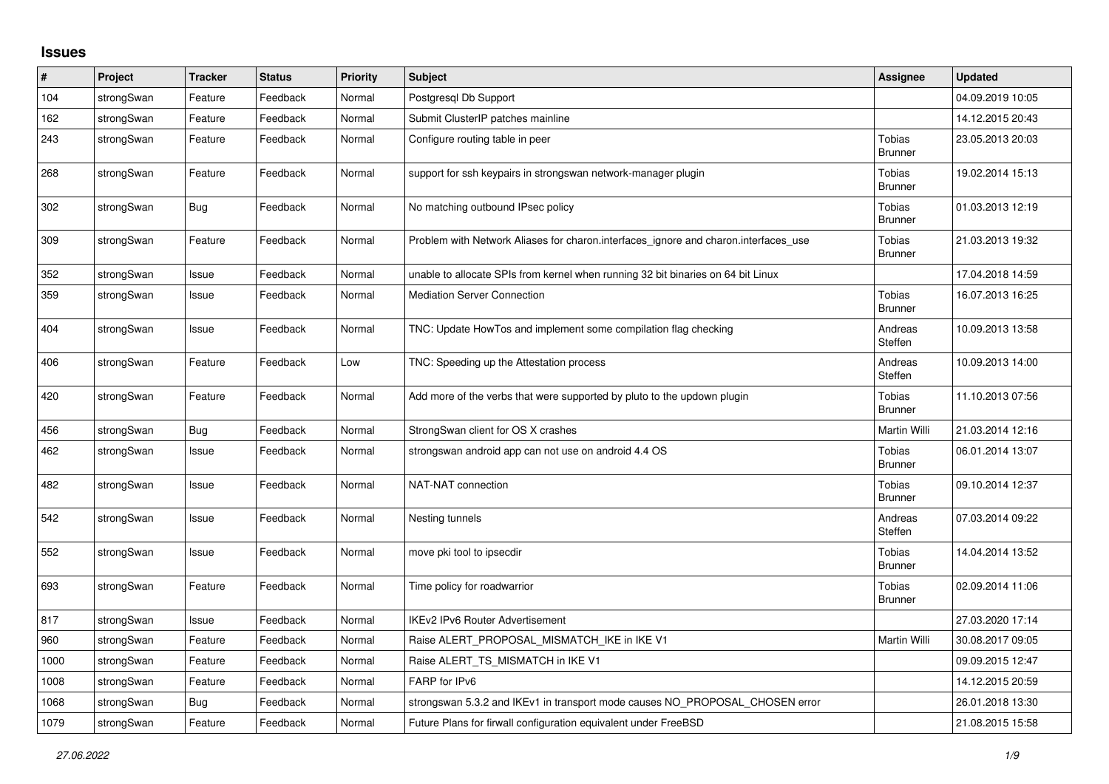## **Issues**

| $\pmb{\#}$ | Project    | <b>Tracker</b> | <b>Status</b> | <b>Priority</b> | <b>Subject</b>                                                                      | Assignee                        | <b>Updated</b>   |
|------------|------------|----------------|---------------|-----------------|-------------------------------------------------------------------------------------|---------------------------------|------------------|
| 104        | strongSwan | Feature        | Feedback      | Normal          | Postgresql Db Support                                                               |                                 | 04.09.2019 10:05 |
| 162        | strongSwan | Feature        | Feedback      | Normal          | Submit ClusterIP patches mainline                                                   |                                 | 14.12.2015 20:43 |
| 243        | strongSwan | Feature        | Feedback      | Normal          | Configure routing table in peer                                                     | Tobias<br><b>Brunner</b>        | 23.05.2013 20:03 |
| 268        | strongSwan | Feature        | Feedback      | Normal          | support for ssh keypairs in strongswan network-manager plugin                       | Tobias<br><b>Brunner</b>        | 19.02.2014 15:13 |
| 302        | strongSwan | Bug            | Feedback      | Normal          | No matching outbound IPsec policy                                                   | Tobias<br><b>Brunner</b>        | 01.03.2013 12:19 |
| 309        | strongSwan | Feature        | Feedback      | Normal          | Problem with Network Aliases for charon.interfaces_ignore and charon.interfaces_use | <b>Tobias</b><br><b>Brunner</b> | 21.03.2013 19:32 |
| 352        | strongSwan | Issue          | Feedback      | Normal          | unable to allocate SPIs from kernel when running 32 bit binaries on 64 bit Linux    |                                 | 17.04.2018 14:59 |
| 359        | strongSwan | Issue          | Feedback      | Normal          | <b>Mediation Server Connection</b>                                                  | <b>Tobias</b><br><b>Brunner</b> | 16.07.2013 16:25 |
| 404        | strongSwan | Issue          | Feedback      | Normal          | TNC: Update HowTos and implement some compilation flag checking                     | Andreas<br>Steffen              | 10.09.2013 13:58 |
| 406        | strongSwan | Feature        | Feedback      | Low             | TNC: Speeding up the Attestation process                                            | Andreas<br>Steffen              | 10.09.2013 14:00 |
| 420        | strongSwan | Feature        | Feedback      | Normal          | Add more of the verbs that were supported by pluto to the updown plugin             | Tobias<br><b>Brunner</b>        | 11.10.2013 07:56 |
| 456        | strongSwan | <b>Bug</b>     | Feedback      | Normal          | StrongSwan client for OS X crashes                                                  | Martin Willi                    | 21.03.2014 12:16 |
| 462        | strongSwan | Issue          | Feedback      | Normal          | strongswan android app can not use on android 4.4 OS                                | <b>Tobias</b><br>Brunner        | 06.01.2014 13:07 |
| 482        | strongSwan | Issue          | Feedback      | Normal          | NAT-NAT connection                                                                  | Tobias<br><b>Brunner</b>        | 09.10.2014 12:37 |
| 542        | strongSwan | Issue          | Feedback      | Normal          | Nesting tunnels                                                                     | Andreas<br>Steffen              | 07.03.2014 09:22 |
| 552        | strongSwan | Issue          | Feedback      | Normal          | move pki tool to ipsecdir                                                           | Tobias<br><b>Brunner</b>        | 14.04.2014 13:52 |
| 693        | strongSwan | Feature        | Feedback      | Normal          | Time policy for roadwarrior                                                         | Tobias<br><b>Brunner</b>        | 02.09.2014 11:06 |
| 817        | strongSwan | Issue          | Feedback      | Normal          | <b>IKEv2 IPv6 Router Advertisement</b>                                              |                                 | 27.03.2020 17:14 |
| 960        | strongSwan | Feature        | Feedback      | Normal          | Raise ALERT PROPOSAL MISMATCH IKE in IKE V1                                         | Martin Willi                    | 30.08.2017 09:05 |
| 1000       | strongSwan | Feature        | Feedback      | Normal          | Raise ALERT_TS_MISMATCH in IKE V1                                                   |                                 | 09.09.2015 12:47 |
| 1008       | strongSwan | Feature        | Feedback      | Normal          | FARP for IPv6                                                                       |                                 | 14.12.2015 20:59 |
| 1068       | strongSwan | <b>Bug</b>     | Feedback      | Normal          | strongswan 5.3.2 and IKEv1 in transport mode causes NO_PROPOSAL_CHOSEN error        |                                 | 26.01.2018 13:30 |
| 1079       | strongSwan | Feature        | Feedback      | Normal          | Future Plans for firwall configuration equivalent under FreeBSD                     |                                 | 21.08.2015 15:58 |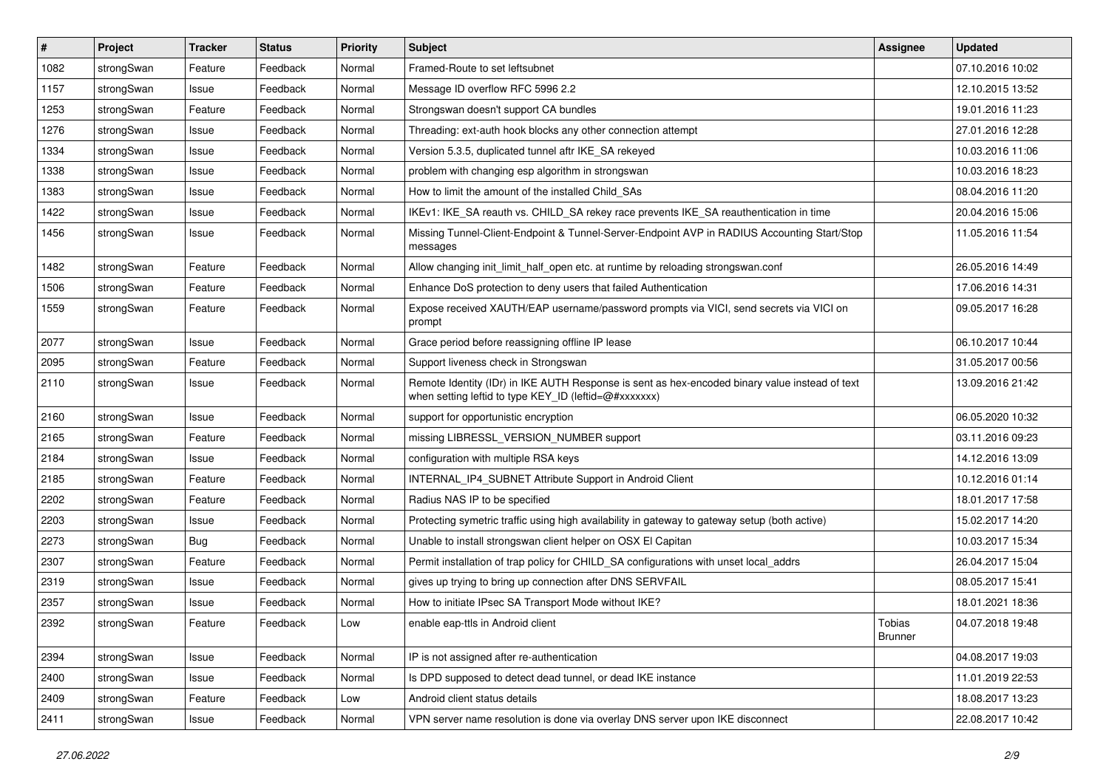| #    | Project    | <b>Tracker</b> | <b>Status</b> | <b>Priority</b> | <b>Subject</b>                                                                                                                                          | <b>Assignee</b>   | <b>Updated</b>   |
|------|------------|----------------|---------------|-----------------|---------------------------------------------------------------------------------------------------------------------------------------------------------|-------------------|------------------|
| 1082 | strongSwan | Feature        | Feedback      | Normal          | Framed-Route to set leftsubnet                                                                                                                          |                   | 07.10.2016 10:02 |
| 1157 | strongSwan | Issue          | Feedback      | Normal          | Message ID overflow RFC 5996 2.2                                                                                                                        |                   | 12.10.2015 13:52 |
| 1253 | strongSwan | Feature        | Feedback      | Normal          | Strongswan doesn't support CA bundles                                                                                                                   |                   | 19.01.2016 11:23 |
| 1276 | strongSwan | Issue          | Feedback      | Normal          | Threading: ext-auth hook blocks any other connection attempt                                                                                            |                   | 27.01.2016 12:28 |
| 1334 | strongSwan | Issue          | Feedback      | Normal          | Version 5.3.5, duplicated tunnel aftr IKE_SA rekeyed                                                                                                    |                   | 10.03.2016 11:06 |
| 1338 | strongSwan | Issue          | Feedback      | Normal          | problem with changing esp algorithm in strongswan                                                                                                       |                   | 10.03.2016 18:23 |
| 1383 | strongSwan | Issue          | Feedback      | Normal          | How to limit the amount of the installed Child_SAs                                                                                                      |                   | 08.04.2016 11:20 |
| 1422 | strongSwan | Issue          | Feedback      | Normal          | IKEv1: IKE_SA reauth vs. CHILD_SA rekey race prevents IKE_SA reauthentication in time                                                                   |                   | 20.04.2016 15:06 |
| 1456 | strongSwan | Issue          | Feedback      | Normal          | Missing Tunnel-Client-Endpoint & Tunnel-Server-Endpoint AVP in RADIUS Accounting Start/Stop<br>messages                                                 |                   | 11.05.2016 11:54 |
| 1482 | strongSwan | Feature        | Feedback      | Normal          | Allow changing init_limit_half_open etc. at runtime by reloading strongswan.conf                                                                        |                   | 26.05.2016 14:49 |
| 1506 | strongSwan | Feature        | Feedback      | Normal          | Enhance DoS protection to deny users that failed Authentication                                                                                         |                   | 17.06.2016 14:31 |
| 1559 | strongSwan | Feature        | Feedback      | Normal          | Expose received XAUTH/EAP username/password prompts via VICI, send secrets via VICI on<br>prompt                                                        |                   | 09.05.2017 16:28 |
| 2077 | strongSwan | Issue          | Feedback      | Normal          | Grace period before reassigning offline IP lease                                                                                                        |                   | 06.10.2017 10:44 |
| 2095 | strongSwan | Feature        | Feedback      | Normal          | Support liveness check in Strongswan                                                                                                                    |                   | 31.05.2017 00:56 |
| 2110 | strongSwan | Issue          | Feedback      | Normal          | Remote Identity (IDr) in IKE AUTH Response is sent as hex-encoded binary value instead of text<br>when setting leftid to type KEY_ID (leftid=@#xxxxxxx) |                   | 13.09.2016 21:42 |
| 2160 | strongSwan | Issue          | Feedback      | Normal          | support for opportunistic encryption                                                                                                                    |                   | 06.05.2020 10:32 |
| 2165 | strongSwan | Feature        | Feedback      | Normal          | missing LIBRESSL_VERSION_NUMBER support                                                                                                                 |                   | 03.11.2016 09:23 |
| 2184 | strongSwan | Issue          | Feedback      | Normal          | configuration with multiple RSA keys                                                                                                                    |                   | 14.12.2016 13:09 |
| 2185 | strongSwan | Feature        | Feedback      | Normal          | INTERNAL_IP4_SUBNET Attribute Support in Android Client                                                                                                 |                   | 10.12.2016 01:14 |
| 2202 | strongSwan | Feature        | Feedback      | Normal          | Radius NAS IP to be specified                                                                                                                           |                   | 18.01.2017 17:58 |
| 2203 | strongSwan | Issue          | Feedback      | Normal          | Protecting symetric traffic using high availability in gateway to gateway setup (both active)                                                           |                   | 15.02.2017 14:20 |
| 2273 | strongSwan | <b>Bug</b>     | Feedback      | Normal          | Unable to install strongswan client helper on OSX El Capitan                                                                                            |                   | 10.03.2017 15:34 |
| 2307 | strongSwan | Feature        | Feedback      | Normal          | Permit installation of trap policy for CHILD_SA configurations with unset local_addrs                                                                   |                   | 26.04.2017 15:04 |
| 2319 | strongSwan | Issue          | Feedback      | Normal          | gives up trying to bring up connection after DNS SERVFAIL                                                                                               |                   | 08.05.2017 15:41 |
| 2357 | strongSwan | Issue          | Feedback      | Normal          | How to initiate IPsec SA Transport Mode without IKE?                                                                                                    |                   | 18.01.2021 18:36 |
| 2392 | strongSwan | Feature        | Feedback      | Low             | enable eap-ttls in Android client                                                                                                                       | Tobias<br>Brunner | 04.07.2018 19:48 |
| 2394 | strongSwan | Issue          | Feedback      | Normal          | IP is not assigned after re-authentication                                                                                                              |                   | 04.08.2017 19:03 |
| 2400 | strongSwan | Issue          | Feedback      | Normal          | Is DPD supposed to detect dead tunnel, or dead IKE instance                                                                                             |                   | 11.01.2019 22:53 |
| 2409 | strongSwan | Feature        | Feedback      | Low             | Android client status details                                                                                                                           |                   | 18.08.2017 13:23 |
| 2411 | strongSwan | Issue          | Feedback      | Normal          | VPN server name resolution is done via overlay DNS server upon IKE disconnect                                                                           |                   | 22.08.2017 10:42 |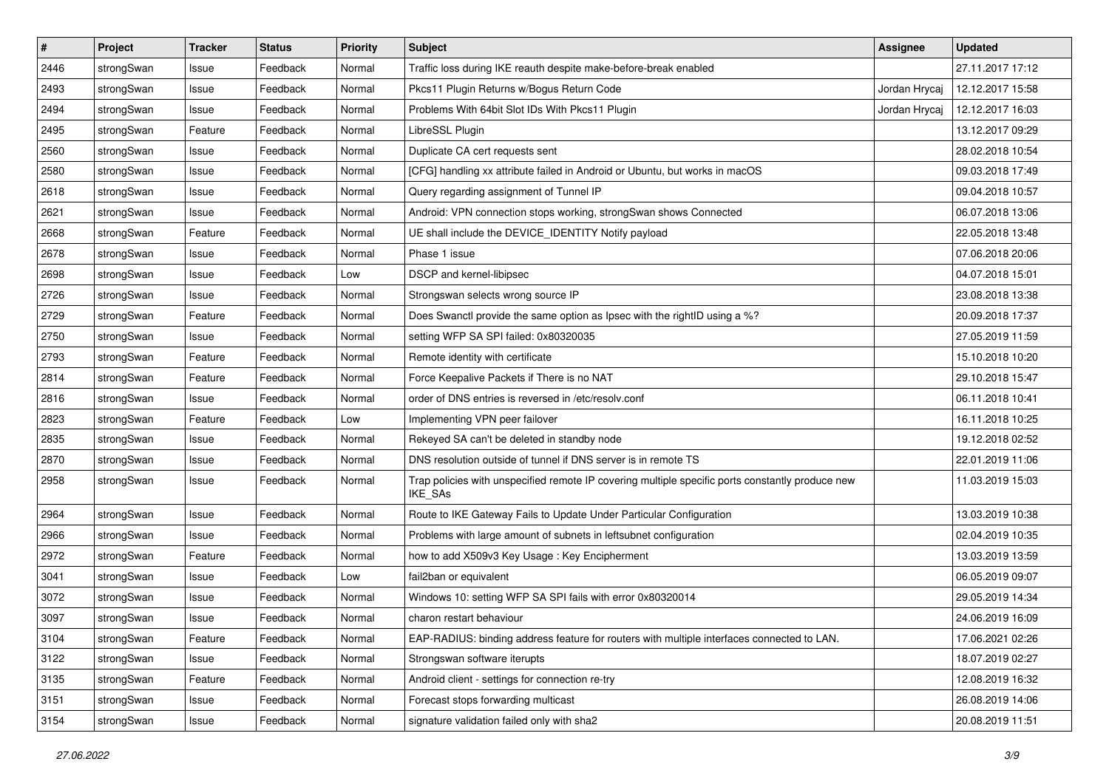| $\pmb{\#}$ | Project    | <b>Tracker</b> | <b>Status</b> | <b>Priority</b> | <b>Subject</b>                                                                                              | <b>Assignee</b> | <b>Updated</b>   |
|------------|------------|----------------|---------------|-----------------|-------------------------------------------------------------------------------------------------------------|-----------------|------------------|
| 2446       | strongSwan | Issue          | Feedback      | Normal          | Traffic loss during IKE reauth despite make-before-break enabled                                            |                 | 27.11.2017 17:12 |
| 2493       | strongSwan | Issue          | Feedback      | Normal          | Pkcs11 Plugin Returns w/Bogus Return Code                                                                   | Jordan Hrycaj   | 12.12.2017 15:58 |
| 2494       | strongSwan | Issue          | Feedback      | Normal          | Problems With 64bit Slot IDs With Pkcs11 Plugin                                                             | Jordan Hrycaj   | 12.12.2017 16:03 |
| 2495       | strongSwan | Feature        | Feedback      | Normal          | LibreSSL Plugin                                                                                             |                 | 13.12.2017 09:29 |
| 2560       | strongSwan | Issue          | Feedback      | Normal          | Duplicate CA cert requests sent                                                                             |                 | 28.02.2018 10:54 |
| 2580       | strongSwan | Issue          | Feedback      | Normal          | [CFG] handling xx attribute failed in Android or Ubuntu, but works in macOS                                 |                 | 09.03.2018 17:49 |
| 2618       | strongSwan | Issue          | Feedback      | Normal          | Query regarding assignment of Tunnel IP                                                                     |                 | 09.04.2018 10:57 |
| 2621       | strongSwan | Issue          | Feedback      | Normal          | Android: VPN connection stops working, strongSwan shows Connected                                           |                 | 06.07.2018 13:06 |
| 2668       | strongSwan | Feature        | Feedback      | Normal          | UE shall include the DEVICE_IDENTITY Notify payload                                                         |                 | 22.05.2018 13:48 |
| 2678       | strongSwan | Issue          | Feedback      | Normal          | Phase 1 issue                                                                                               |                 | 07.06.2018 20:06 |
| 2698       | strongSwan | Issue          | Feedback      | Low             | DSCP and kernel-libipsec                                                                                    |                 | 04.07.2018 15:01 |
| 2726       | strongSwan | Issue          | Feedback      | Normal          | Strongswan selects wrong source IP                                                                          |                 | 23.08.2018 13:38 |
| 2729       | strongSwan | Feature        | Feedback      | Normal          | Does Swanctl provide the same option as Ipsec with the rightID using a %?                                   |                 | 20.09.2018 17:37 |
| 2750       | strongSwan | Issue          | Feedback      | Normal          | setting WFP SA SPI failed: 0x80320035                                                                       |                 | 27.05.2019 11:59 |
| 2793       | strongSwan | Feature        | Feedback      | Normal          | Remote identity with certificate                                                                            |                 | 15.10.2018 10:20 |
| 2814       | strongSwan | Feature        | Feedback      | Normal          | Force Keepalive Packets if There is no NAT                                                                  |                 | 29.10.2018 15:47 |
| 2816       | strongSwan | Issue          | Feedback      | Normal          | order of DNS entries is reversed in /etc/resolv.conf                                                        |                 | 06.11.2018 10:41 |
| 2823       | strongSwan | Feature        | Feedback      | Low             | Implementing VPN peer failover                                                                              |                 | 16.11.2018 10:25 |
| 2835       | strongSwan | Issue          | Feedback      | Normal          | Rekeyed SA can't be deleted in standby node                                                                 |                 | 19.12.2018 02:52 |
| 2870       | strongSwan | Issue          | Feedback      | Normal          | DNS resolution outside of tunnel if DNS server is in remote TS                                              |                 | 22.01.2019 11:06 |
| 2958       | strongSwan | Issue          | Feedback      | Normal          | Trap policies with unspecified remote IP covering multiple specific ports constantly produce new<br>IKE_SAs |                 | 11.03.2019 15:03 |
| 2964       | strongSwan | Issue          | Feedback      | Normal          | Route to IKE Gateway Fails to Update Under Particular Configuration                                         |                 | 13.03.2019 10:38 |
| 2966       | strongSwan | Issue          | Feedback      | Normal          | Problems with large amount of subnets in leftsubnet configuration                                           |                 | 02.04.2019 10:35 |
| 2972       | strongSwan | Feature        | Feedback      | Normal          | how to add X509v3 Key Usage: Key Encipherment                                                               |                 | 13.03.2019 13:59 |
| 3041       | strongSwan | Issue          | Feedback      | Low             | fail2ban or equivalent                                                                                      |                 | 06.05.2019 09:07 |
| 3072       | strongSwan | Issue          | Feedback      | Normal          | Windows 10: setting WFP SA SPI fails with error 0x80320014                                                  |                 | 29.05.2019 14:34 |
| 3097       | strongSwan | Issue          | Feedback      | Normal          | charon restart behaviour                                                                                    |                 | 24.06.2019 16:09 |
| 3104       | strongSwan | Feature        | Feedback      | Normal          | EAP-RADIUS: binding address feature for routers with multiple interfaces connected to LAN.                  |                 | 17.06.2021 02:26 |
| 3122       | strongSwan | Issue          | Feedback      | Normal          | Strongswan software iterupts                                                                                |                 | 18.07.2019 02:27 |
| 3135       | strongSwan | Feature        | Feedback      | Normal          | Android client - settings for connection re-try                                                             |                 | 12.08.2019 16:32 |
| 3151       | strongSwan | Issue          | Feedback      | Normal          | Forecast stops forwarding multicast                                                                         |                 | 26.08.2019 14:06 |
| 3154       | strongSwan | Issue          | Feedback      | Normal          | signature validation failed only with sha2                                                                  |                 | 20.08.2019 11:51 |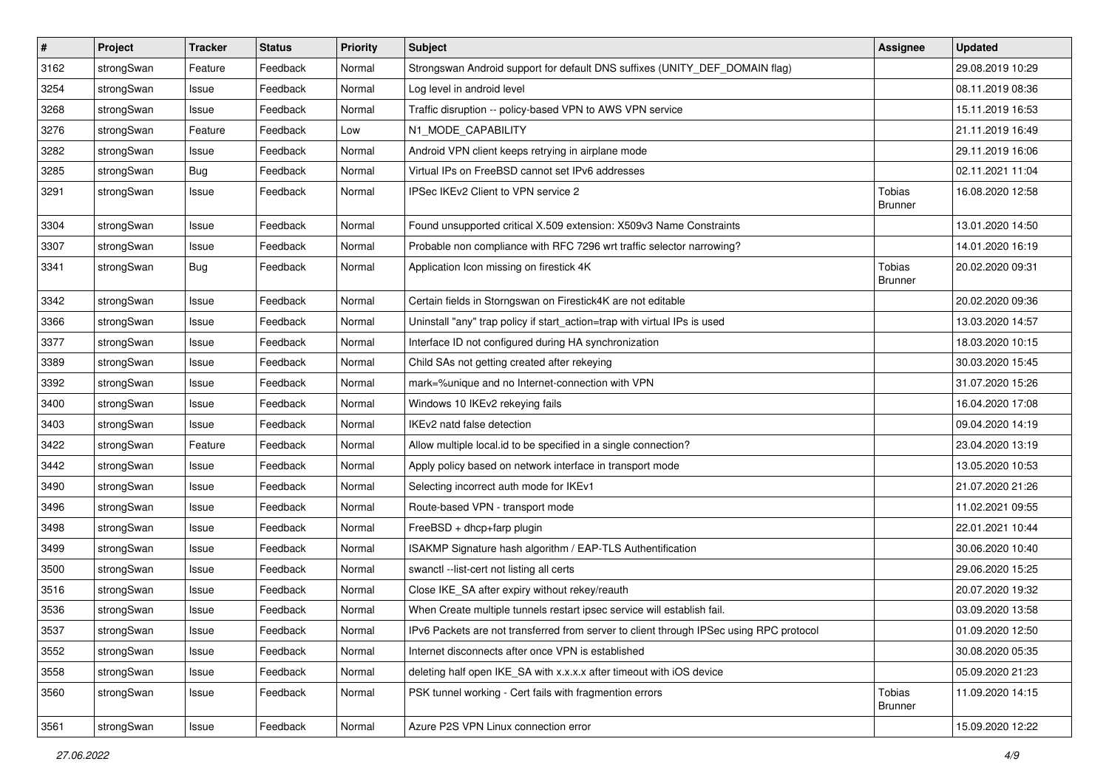| $\vert$ # | Project    | <b>Tracker</b> | <b>Status</b> | <b>Priority</b> | Subject                                                                                 | <b>Assignee</b>                 | <b>Updated</b>   |
|-----------|------------|----------------|---------------|-----------------|-----------------------------------------------------------------------------------------|---------------------------------|------------------|
| 3162      | strongSwan | Feature        | Feedback      | Normal          | Strongswan Android support for default DNS suffixes (UNITY_DEF_DOMAIN flag)             |                                 | 29.08.2019 10:29 |
| 3254      | strongSwan | Issue          | Feedback      | Normal          | Log level in android level                                                              |                                 | 08.11.2019 08:36 |
| 3268      | strongSwan | Issue          | Feedback      | Normal          | Traffic disruption -- policy-based VPN to AWS VPN service                               |                                 | 15.11.2019 16:53 |
| 3276      | strongSwan | Feature        | Feedback      | Low             | N1_MODE_CAPABILITY                                                                      |                                 | 21.11.2019 16:49 |
| 3282      | strongSwan | Issue          | Feedback      | Normal          | Android VPN client keeps retrying in airplane mode                                      |                                 | 29.11.2019 16:06 |
| 3285      | strongSwan | <b>Bug</b>     | Feedback      | Normal          | Virtual IPs on FreeBSD cannot set IPv6 addresses                                        |                                 | 02.11.2021 11:04 |
| 3291      | strongSwan | Issue          | Feedback      | Normal          | IPSec IKEv2 Client to VPN service 2                                                     | <b>Tobias</b><br><b>Brunner</b> | 16.08.2020 12:58 |
| 3304      | strongSwan | Issue          | Feedback      | Normal          | Found unsupported critical X.509 extension: X509v3 Name Constraints                     |                                 | 13.01.2020 14:50 |
| 3307      | strongSwan | Issue          | Feedback      | Normal          | Probable non compliance with RFC 7296 wrt traffic selector narrowing?                   |                                 | 14.01.2020 16:19 |
| 3341      | strongSwan | Bug            | Feedback      | Normal          | Application Icon missing on firestick 4K                                                | <b>Tobias</b><br><b>Brunner</b> | 20.02.2020 09:31 |
| 3342      | strongSwan | Issue          | Feedback      | Normal          | Certain fields in Storngswan on Firestick4K are not editable                            |                                 | 20.02.2020 09:36 |
| 3366      | strongSwan | Issue          | Feedback      | Normal          | Uninstall "any" trap policy if start_action=trap with virtual IPs is used               |                                 | 13.03.2020 14:57 |
| 3377      | strongSwan | Issue          | Feedback      | Normal          | Interface ID not configured during HA synchronization                                   |                                 | 18.03.2020 10:15 |
| 3389      | strongSwan | Issue          | Feedback      | Normal          | Child SAs not getting created after rekeying                                            |                                 | 30.03.2020 15:45 |
| 3392      | strongSwan | Issue          | Feedback      | Normal          | mark=%unique and no Internet-connection with VPN                                        |                                 | 31.07.2020 15:26 |
| 3400      | strongSwan | Issue          | Feedback      | Normal          | Windows 10 IKEv2 rekeying fails                                                         |                                 | 16.04.2020 17:08 |
| 3403      | strongSwan | Issue          | Feedback      | Normal          | IKEv2 natd false detection                                                              |                                 | 09.04.2020 14:19 |
| 3422      | strongSwan | Feature        | Feedback      | Normal          | Allow multiple local.id to be specified in a single connection?                         |                                 | 23.04.2020 13:19 |
| 3442      | strongSwan | Issue          | Feedback      | Normal          | Apply policy based on network interface in transport mode                               |                                 | 13.05.2020 10:53 |
| 3490      | strongSwan | Issue          | Feedback      | Normal          | Selecting incorrect auth mode for IKEv1                                                 |                                 | 21.07.2020 21:26 |
| 3496      | strongSwan | Issue          | Feedback      | Normal          | Route-based VPN - transport mode                                                        |                                 | 11.02.2021 09:55 |
| 3498      | strongSwan | Issue          | Feedback      | Normal          | FreeBSD + dhcp+farp plugin                                                              |                                 | 22.01.2021 10:44 |
| 3499      | strongSwan | Issue          | Feedback      | Normal          | ISAKMP Signature hash algorithm / EAP-TLS Authentification                              |                                 | 30.06.2020 10:40 |
| 3500      | strongSwan | Issue          | Feedback      | Normal          | swanctl --list-cert not listing all certs                                               |                                 | 29.06.2020 15:25 |
| 3516      | strongSwan | Issue          | Feedback      | Normal          | Close IKE_SA after expiry without rekey/reauth                                          |                                 | 20.07.2020 19:32 |
| 3536      | strongSwan | Issue          | Feedback      | Normal          | When Create multiple tunnels restart ipsec service will establish fail.                 |                                 | 03.09.2020 13:58 |
| 3537      | strongSwan | Issue          | Feedback      | Normal          | IPv6 Packets are not transferred from server to client through IPSec using RPC protocol |                                 | 01.09.2020 12:50 |
| 3552      | strongSwan | Issue          | Feedback      | Normal          | Internet disconnects after once VPN is established                                      |                                 | 30.08.2020 05:35 |
| 3558      | strongSwan | Issue          | Feedback      | Normal          | deleting half open IKE_SA with x.x.x.x after timeout with iOS device                    |                                 | 05.09.2020 21:23 |
| 3560      | strongSwan | Issue          | Feedback      | Normal          | PSK tunnel working - Cert fails with fragmention errors                                 | Tobias<br><b>Brunner</b>        | 11.09.2020 14:15 |
| 3561      | strongSwan | Issue          | Feedback      | Normal          | Azure P2S VPN Linux connection error                                                    |                                 | 15.09.2020 12:22 |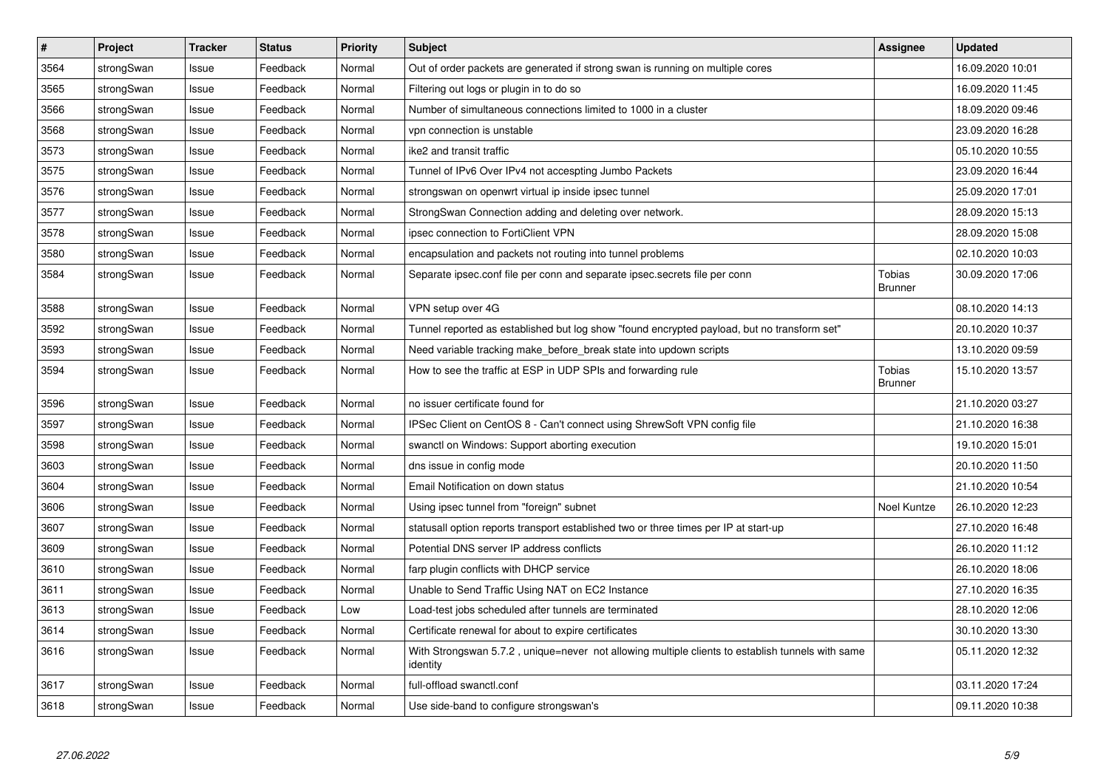| $\overline{\boldsymbol{H}}$ | Project    | <b>Tracker</b> | <b>Status</b> | <b>Priority</b> | <b>Subject</b>                                                                                               | <b>Assignee</b>                 | <b>Updated</b>   |
|-----------------------------|------------|----------------|---------------|-----------------|--------------------------------------------------------------------------------------------------------------|---------------------------------|------------------|
| 3564                        | strongSwan | Issue          | Feedback      | Normal          | Out of order packets are generated if strong swan is running on multiple cores                               |                                 | 16.09.2020 10:01 |
| 3565                        | strongSwan | Issue          | Feedback      | Normal          | Filtering out logs or plugin in to do so                                                                     |                                 | 16.09.2020 11:45 |
| 3566                        | strongSwan | Issue          | Feedback      | Normal          | Number of simultaneous connections limited to 1000 in a cluster                                              |                                 | 18.09.2020 09:46 |
| 3568                        | strongSwan | Issue          | Feedback      | Normal          | vpn connection is unstable                                                                                   |                                 | 23.09.2020 16:28 |
| 3573                        | strongSwan | Issue          | Feedback      | Normal          | ike2 and transit traffic                                                                                     |                                 | 05.10.2020 10:55 |
| 3575                        | strongSwan | Issue          | Feedback      | Normal          | Tunnel of IPv6 Over IPv4 not accespting Jumbo Packets                                                        |                                 | 23.09.2020 16:44 |
| 3576                        | strongSwan | Issue          | Feedback      | Normal          | strongswan on openwrt virtual ip inside ipsec tunnel                                                         |                                 | 25.09.2020 17:01 |
| 3577                        | strongSwan | Issue          | Feedback      | Normal          | StrongSwan Connection adding and deleting over network.                                                      |                                 | 28.09.2020 15:13 |
| 3578                        | strongSwan | Issue          | Feedback      | Normal          | ipsec connection to FortiClient VPN                                                                          |                                 | 28.09.2020 15:08 |
| 3580                        | strongSwan | Issue          | Feedback      | Normal          | encapsulation and packets not routing into tunnel problems                                                   |                                 | 02.10.2020 10:03 |
| 3584                        | strongSwan | Issue          | Feedback      | Normal          | Separate ipsec.conf file per conn and separate ipsec.secrets file per conn                                   | Tobias<br><b>Brunner</b>        | 30.09.2020 17:06 |
| 3588                        | strongSwan | Issue          | Feedback      | Normal          | VPN setup over 4G                                                                                            |                                 | 08.10.2020 14:13 |
| 3592                        | strongSwan | Issue          | Feedback      | Normal          | Tunnel reported as established but log show "found encrypted payload, but no transform set"                  |                                 | 20.10.2020 10:37 |
| 3593                        | strongSwan | Issue          | Feedback      | Normal          | Need variable tracking make_before_break state into updown scripts                                           |                                 | 13.10.2020 09:59 |
| 3594                        | strongSwan | Issue          | Feedback      | Normal          | How to see the traffic at ESP in UDP SPIs and forwarding rule                                                | <b>Tobias</b><br><b>Brunner</b> | 15.10.2020 13:57 |
| 3596                        | strongSwan | Issue          | Feedback      | Normal          | no issuer certificate found for                                                                              |                                 | 21.10.2020 03:27 |
| 3597                        | strongSwan | Issue          | Feedback      | Normal          | IPSec Client on CentOS 8 - Can't connect using ShrewSoft VPN config file                                     |                                 | 21.10.2020 16:38 |
| 3598                        | strongSwan | Issue          | Feedback      | Normal          | swanctl on Windows: Support aborting execution                                                               |                                 | 19.10.2020 15:01 |
| 3603                        | strongSwan | Issue          | Feedback      | Normal          | dns issue in config mode                                                                                     |                                 | 20.10.2020 11:50 |
| 3604                        | strongSwan | Issue          | Feedback      | Normal          | Email Notification on down status                                                                            |                                 | 21.10.2020 10:54 |
| 3606                        | strongSwan | Issue          | Feedback      | Normal          | Using ipsec tunnel from "foreign" subnet                                                                     | Noel Kuntze                     | 26.10.2020 12:23 |
| 3607                        | strongSwan | Issue          | Feedback      | Normal          | statusall option reports transport established two or three times per IP at start-up                         |                                 | 27.10.2020 16:48 |
| 3609                        | strongSwan | Issue          | Feedback      | Normal          | Potential DNS server IP address conflicts                                                                    |                                 | 26.10.2020 11:12 |
| 3610                        | strongSwan | Issue          | Feedback      | Normal          | farp plugin conflicts with DHCP service                                                                      |                                 | 26.10.2020 18:06 |
| 3611                        | strongSwan | Issue          | Feedback      | Normal          | Unable to Send Traffic Using NAT on EC2 Instance                                                             |                                 | 27.10.2020 16:35 |
| 3613                        | strongSwan | Issue          | Feedback      | Low             | Load-test jobs scheduled after tunnels are terminated                                                        |                                 | 28.10.2020 12:06 |
| 3614                        | strongSwan | Issue          | Feedback      | Normal          | Certificate renewal for about to expire certificates                                                         |                                 | 30.10.2020 13:30 |
| 3616                        | strongSwan | Issue          | Feedback      | Normal          | With Strongswan 5.7.2, unique=never not allowing multiple clients to establish tunnels with same<br>identity |                                 | 05.11.2020 12:32 |
| 3617                        | strongSwan | Issue          | Feedback      | Normal          | full-offload swanctl.conf                                                                                    |                                 | 03.11.2020 17:24 |
| 3618                        | strongSwan | Issue          | Feedback      | Normal          | Use side-band to configure strongswan's                                                                      |                                 | 09.11.2020 10:38 |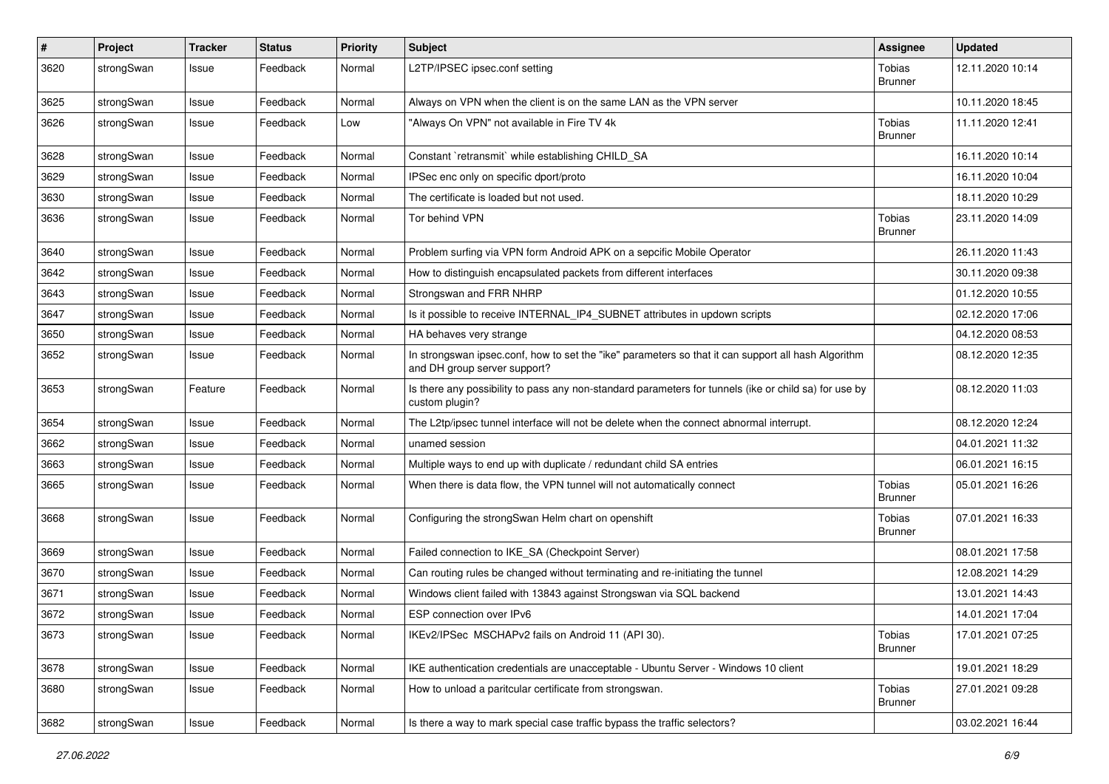| #    | Project    | <b>Tracker</b> | <b>Status</b> | <b>Priority</b> | <b>Subject</b>                                                                                                                      | Assignee                 | <b>Updated</b>   |
|------|------------|----------------|---------------|-----------------|-------------------------------------------------------------------------------------------------------------------------------------|--------------------------|------------------|
| 3620 | strongSwan | Issue          | Feedback      | Normal          | L2TP/IPSEC ipsec.conf setting                                                                                                       | Tobias<br><b>Brunner</b> | 12.11.2020 10:14 |
| 3625 | strongSwan | Issue          | Feedback      | Normal          | Always on VPN when the client is on the same LAN as the VPN server                                                                  |                          | 10.11.2020 18:45 |
| 3626 | strongSwan | Issue          | Feedback      | Low             | "Always On VPN" not available in Fire TV 4k                                                                                         | Tobias<br><b>Brunner</b> | 11.11.2020 12:41 |
| 3628 | strongSwan | Issue          | Feedback      | Normal          | Constant `retransmit` while establishing CHILD_SA                                                                                   |                          | 16.11.2020 10:14 |
| 3629 | strongSwan | Issue          | Feedback      | Normal          | IPSec enc only on specific dport/proto                                                                                              |                          | 16.11.2020 10:04 |
| 3630 | strongSwan | Issue          | Feedback      | Normal          | The certificate is loaded but not used.                                                                                             |                          | 18.11.2020 10:29 |
| 3636 | strongSwan | Issue          | Feedback      | Normal          | Tor behind VPN                                                                                                                      | Tobias<br><b>Brunner</b> | 23.11.2020 14:09 |
| 3640 | strongSwan | Issue          | Feedback      | Normal          | Problem surfing via VPN form Android APK on a sepcific Mobile Operator                                                              |                          | 26.11.2020 11:43 |
| 3642 | strongSwan | Issue          | Feedback      | Normal          | How to distinguish encapsulated packets from different interfaces                                                                   |                          | 30.11.2020 09:38 |
| 3643 | strongSwan | Issue          | Feedback      | Normal          | Strongswan and FRR NHRP                                                                                                             |                          | 01.12.2020 10:55 |
| 3647 | strongSwan | Issue          | Feedback      | Normal          | Is it possible to receive INTERNAL_IP4_SUBNET attributes in updown scripts                                                          |                          | 02.12.2020 17:06 |
| 3650 | strongSwan | Issue          | Feedback      | Normal          | HA behaves very strange                                                                                                             |                          | 04.12.2020 08:53 |
| 3652 | strongSwan | Issue          | Feedback      | Normal          | In strongswan ipsec.conf, how to set the "ike" parameters so that it can support all hash Algorithm<br>and DH group server support? |                          | 08.12.2020 12:35 |
| 3653 | strongSwan | Feature        | Feedback      | Normal          | Is there any possibility to pass any non-standard parameters for tunnels (ike or child sa) for use by<br>custom plugin?             |                          | 08.12.2020 11:03 |
| 3654 | strongSwan | Issue          | Feedback      | Normal          | The L2tp/ipsec tunnel interface will not be delete when the connect abnormal interrupt.                                             |                          | 08.12.2020 12:24 |
| 3662 | strongSwan | Issue          | Feedback      | Normal          | unamed session                                                                                                                      |                          | 04.01.2021 11:32 |
| 3663 | strongSwan | Issue          | Feedback      | Normal          | Multiple ways to end up with duplicate / redundant child SA entries                                                                 |                          | 06.01.2021 16:15 |
| 3665 | strongSwan | Issue          | Feedback      | Normal          | When there is data flow, the VPN tunnel will not automatically connect                                                              | Tobias<br><b>Brunner</b> | 05.01.2021 16:26 |
| 3668 | strongSwan | Issue          | Feedback      | Normal          | Configuring the strongSwan Helm chart on openshift                                                                                  | Tobias<br><b>Brunner</b> | 07.01.2021 16:33 |
| 3669 | strongSwan | Issue          | Feedback      | Normal          | Failed connection to IKE_SA (Checkpoint Server)                                                                                     |                          | 08.01.2021 17:58 |
| 3670 | strongSwan | Issue          | Feedback      | Normal          | Can routing rules be changed without terminating and re-initiating the tunnel                                                       |                          | 12.08.2021 14:29 |
| 3671 | strongSwan | Issue          | Feedback      | Normal          | Windows client failed with 13843 against Strongswan via SQL backend                                                                 |                          | 13.01.2021 14:43 |
| 3672 | strongSwan | Issue          | Feedback      | Normal          | ESP connection over IPv6                                                                                                            |                          | 14.01.2021 17:04 |
| 3673 | strongSwan | Issue          | Feedback      | Normal          | IKEv2/IPSec MSCHAPv2 fails on Android 11 (API 30).                                                                                  | Tobias<br><b>Brunner</b> | 17.01.2021 07:25 |
| 3678 | strongSwan | Issue          | Feedback      | Normal          | IKE authentication credentials are unacceptable - Ubuntu Server - Windows 10 client                                                 |                          | 19.01.2021 18:29 |
| 3680 | strongSwan | Issue          | Feedback      | Normal          | How to unload a paritcular certificate from strongswan.                                                                             | Tobias<br><b>Brunner</b> | 27.01.2021 09:28 |
| 3682 | strongSwan | Issue          | Feedback      | Normal          | Is there a way to mark special case traffic bypass the traffic selectors?                                                           |                          | 03.02.2021 16:44 |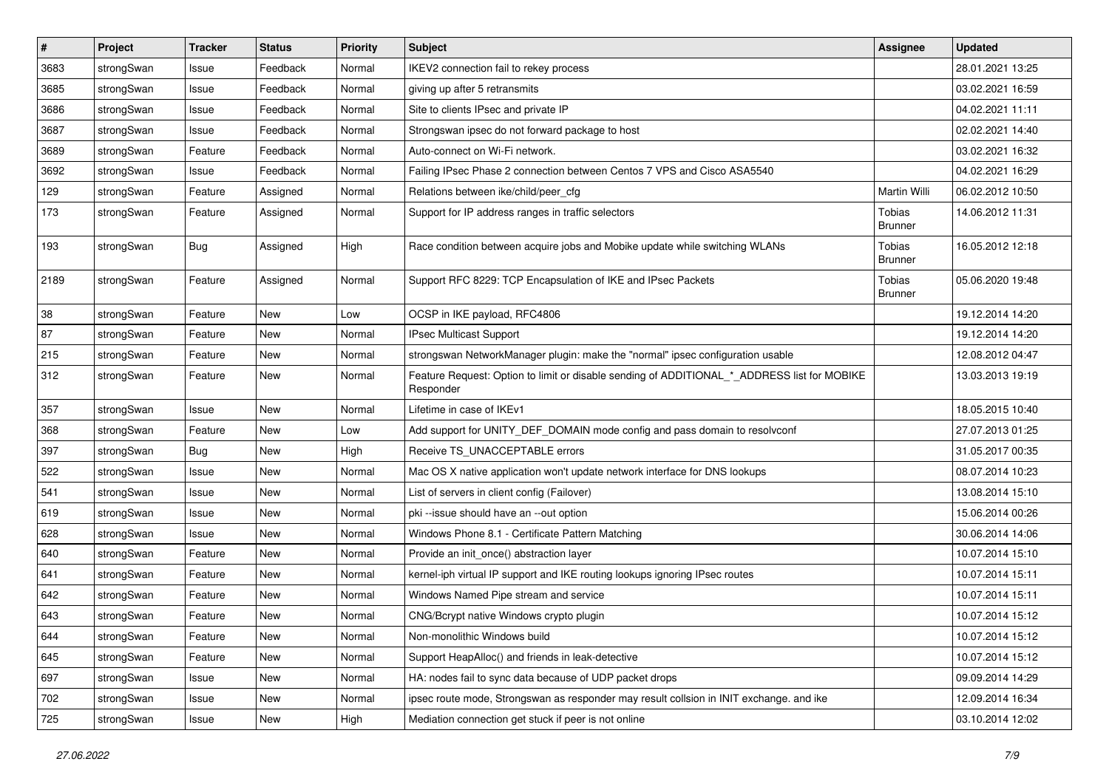| $\vert$ # | Project    | <b>Tracker</b> | <b>Status</b> | <b>Priority</b> | <b>Subject</b>                                                                                           | <b>Assignee</b>                 | <b>Updated</b>   |
|-----------|------------|----------------|---------------|-----------------|----------------------------------------------------------------------------------------------------------|---------------------------------|------------------|
| 3683      | strongSwan | Issue          | Feedback      | Normal          | IKEV2 connection fail to rekey process                                                                   |                                 | 28.01.2021 13:25 |
| 3685      | strongSwan | Issue          | Feedback      | Normal          | giving up after 5 retransmits                                                                            |                                 | 03.02.2021 16:59 |
| 3686      | strongSwan | Issue          | Feedback      | Normal          | Site to clients IPsec and private IP                                                                     |                                 | 04.02.2021 11:11 |
| 3687      | strongSwan | Issue          | Feedback      | Normal          | Strongswan ipsec do not forward package to host                                                          |                                 | 02.02.2021 14:40 |
| 3689      | strongSwan | Feature        | Feedback      | Normal          | Auto-connect on Wi-Fi network.                                                                           |                                 | 03.02.2021 16:32 |
| 3692      | strongSwan | Issue          | Feedback      | Normal          | Failing IPsec Phase 2 connection between Centos 7 VPS and Cisco ASA5540                                  |                                 | 04.02.2021 16:29 |
| 129       | strongSwan | Feature        | Assigned      | Normal          | Relations between ike/child/peer_cfg                                                                     | Martin Willi                    | 06.02.2012 10:50 |
| 173       | strongSwan | Feature        | Assigned      | Normal          | Support for IP address ranges in traffic selectors                                                       | <b>Tobias</b><br><b>Brunner</b> | 14.06.2012 11:31 |
| 193       | strongSwan | Bug            | Assigned      | High            | Race condition between acquire jobs and Mobike update while switching WLANs                              | <b>Tobias</b><br><b>Brunner</b> | 16.05.2012 12:18 |
| 2189      | strongSwan | Feature        | Assigned      | Normal          | Support RFC 8229: TCP Encapsulation of IKE and IPsec Packets                                             | <b>Tobias</b><br><b>Brunner</b> | 05.06.2020 19:48 |
| 38        | strongSwan | Feature        | <b>New</b>    | Low             | OCSP in IKE payload, RFC4806                                                                             |                                 | 19.12.2014 14:20 |
| 87        | strongSwan | Feature        | New           | Normal          | IPsec Multicast Support                                                                                  |                                 | 19.12.2014 14:20 |
| 215       | strongSwan | Feature        | <b>New</b>    | Normal          | strongswan NetworkManager plugin: make the "normal" ipsec configuration usable                           |                                 | 12.08.2012 04:47 |
| 312       | strongSwan | Feature        | <b>New</b>    | Normal          | Feature Request: Option to limit or disable sending of ADDITIONAL_*_ADDRESS list for MOBIKE<br>Responder |                                 | 13.03.2013 19:19 |
| 357       | strongSwan | Issue          | <b>New</b>    | Normal          | Lifetime in case of IKEv1                                                                                |                                 | 18.05.2015 10:40 |
| 368       | strongSwan | Feature        | New           | Low             | Add support for UNITY_DEF_DOMAIN mode config and pass domain to resolvconf                               |                                 | 27.07.2013 01:25 |
| 397       | strongSwan | Bug            | <b>New</b>    | High            | Receive TS_UNACCEPTABLE errors                                                                           |                                 | 31.05.2017 00:35 |
| 522       | strongSwan | Issue          | New           | Normal          | Mac OS X native application won't update network interface for DNS lookups                               |                                 | 08.07.2014 10:23 |
| 541       | strongSwan | Issue          | New           | Normal          | List of servers in client config (Failover)                                                              |                                 | 13.08.2014 15:10 |
| 619       | strongSwan | Issue          | <b>New</b>    | Normal          | pki --issue should have an --out option                                                                  |                                 | 15.06.2014 00:26 |
| 628       | strongSwan | Issue          | New           | Normal          | Windows Phone 8.1 - Certificate Pattern Matching                                                         |                                 | 30.06.2014 14:06 |
| 640       | strongSwan | Feature        | New           | Normal          | Provide an init_once() abstraction layer                                                                 |                                 | 10.07.2014 15:10 |
| 641       | strongSwan | Feature        | New           | Normal          | kernel-iph virtual IP support and IKE routing lookups ignoring IPsec routes                              |                                 | 10.07.2014 15:11 |
| 642       | strongSwan | Feature        | <b>New</b>    | Normal          | Windows Named Pipe stream and service                                                                    |                                 | 10.07.2014 15:11 |
| 643       | strongSwan | Feature        | New           | Normal          | CNG/Bcrypt native Windows crypto plugin                                                                  |                                 | 10.07.2014 15:12 |
| 644       | strongSwan | Feature        | New           | Normal          | Non-monolithic Windows build                                                                             |                                 | 10.07.2014 15:12 |
| 645       | strongSwan | Feature        | New           | Normal          | Support HeapAlloc() and friends in leak-detective                                                        |                                 | 10.07.2014 15:12 |
| 697       | strongSwan | Issue          | New           | Normal          | HA: nodes fail to sync data because of UDP packet drops                                                  |                                 | 09.09.2014 14:29 |
| 702       | strongSwan | Issue          | New           | Normal          | ipsec route mode, Strongswan as responder may result collsion in INIT exchange. and ike                  |                                 | 12.09.2014 16:34 |
| 725       | strongSwan | Issue          | New           | High            | Mediation connection get stuck if peer is not online                                                     |                                 | 03.10.2014 12:02 |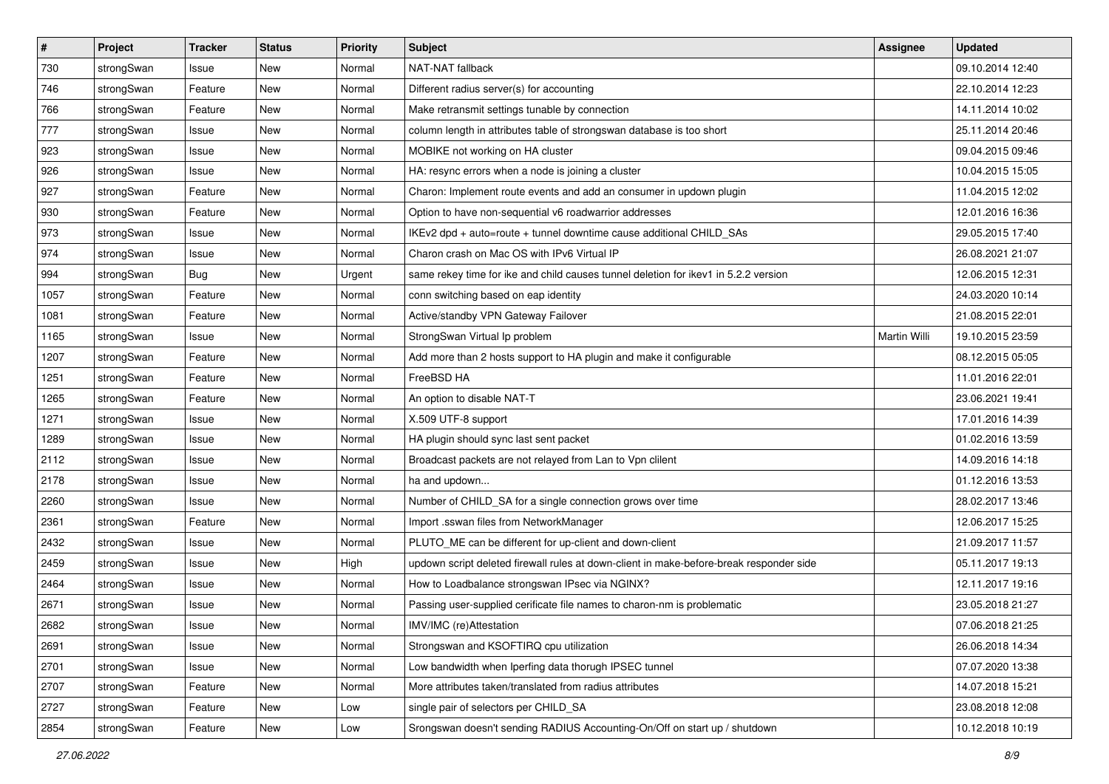| $\sharp$ | Project    | <b>Tracker</b> | <b>Status</b> | <b>Priority</b> | <b>Subject</b>                                                                          | <b>Assignee</b> | <b>Updated</b>   |
|----------|------------|----------------|---------------|-----------------|-----------------------------------------------------------------------------------------|-----------------|------------------|
| 730      | strongSwan | Issue          | New           | Normal          | NAT-NAT fallback                                                                        |                 | 09.10.2014 12:40 |
| 746      | strongSwan | Feature        | <b>New</b>    | Normal          | Different radius server(s) for accounting                                               |                 | 22.10.2014 12:23 |
| 766      | strongSwan | Feature        | New           | Normal          | Make retransmit settings tunable by connection                                          |                 | 14.11.2014 10:02 |
| 777      | strongSwan | Issue          | New           | Normal          | column length in attributes table of strongswan database is too short                   |                 | 25.11.2014 20:46 |
| 923      | strongSwan | Issue          | <b>New</b>    | Normal          | MOBIKE not working on HA cluster                                                        |                 | 09.04.2015 09:46 |
| 926      | strongSwan | Issue          | New           | Normal          | HA: resync errors when a node is joining a cluster                                      |                 | 10.04.2015 15:05 |
| 927      | strongSwan | Feature        | New           | Normal          | Charon: Implement route events and add an consumer in updown plugin                     |                 | 11.04.2015 12:02 |
| 930      | strongSwan | Feature        | New           | Normal          | Option to have non-sequential v6 roadwarrior addresses                                  |                 | 12.01.2016 16:36 |
| 973      | strongSwan | Issue          | New           | Normal          | IKEv2 dpd + auto=route + tunnel downtime cause additional CHILD_SAs                     |                 | 29.05.2015 17:40 |
| 974      | strongSwan | Issue          | <b>New</b>    | Normal          | Charon crash on Mac OS with IPv6 Virtual IP                                             |                 | 26.08.2021 21:07 |
| 994      | strongSwan | Bug            | New           | Urgent          | same rekey time for ike and child causes tunnel deletion for ikey1 in 5.2.2 version     |                 | 12.06.2015 12:31 |
| 1057     | strongSwan | Feature        | <b>New</b>    | Normal          | conn switching based on eap identity                                                    |                 | 24.03.2020 10:14 |
| 1081     | strongSwan | Feature        | New           | Normal          | Active/standby VPN Gateway Failover                                                     |                 | 21.08.2015 22:01 |
| 1165     | strongSwan | Issue          | New           | Normal          | StrongSwan Virtual Ip problem                                                           | Martin Willi    | 19.10.2015 23:59 |
| 1207     | strongSwan | Feature        | <b>New</b>    | Normal          | Add more than 2 hosts support to HA plugin and make it configurable                     |                 | 08.12.2015 05:05 |
| 1251     | strongSwan | Feature        | New           | Normal          | FreeBSD HA                                                                              |                 | 11.01.2016 22:01 |
| 1265     | strongSwan | Feature        | New           | Normal          | An option to disable NAT-T                                                              |                 | 23.06.2021 19:41 |
| 1271     | strongSwan | Issue          | New           | Normal          | X.509 UTF-8 support                                                                     |                 | 17.01.2016 14:39 |
| 1289     | strongSwan | Issue          | New           | Normal          | HA plugin should sync last sent packet                                                  |                 | 01.02.2016 13:59 |
| 2112     | strongSwan | Issue          | New           | Normal          | Broadcast packets are not relayed from Lan to Vpn clilent                               |                 | 14.09.2016 14:18 |
| 2178     | strongSwan | Issue          | New           | Normal          | ha and updown                                                                           |                 | 01.12.2016 13:53 |
| 2260     | strongSwan | Issue          | New           | Normal          | Number of CHILD_SA for a single connection grows over time                              |                 | 28.02.2017 13:46 |
| 2361     | strongSwan | Feature        | <b>New</b>    | Normal          | Import .sswan files from NetworkManager                                                 |                 | 12.06.2017 15:25 |
| 2432     | strongSwan | Issue          | New           | Normal          | PLUTO_ME can be different for up-client and down-client                                 |                 | 21.09.2017 11:57 |
| 2459     | strongSwan | Issue          | <b>New</b>    | High            | updown script deleted firewall rules at down-client in make-before-break responder side |                 | 05.11.2017 19:13 |
| 2464     | strongSwan | Issue          | New           | Normal          | How to Loadbalance strongswan IPsec via NGINX?                                          |                 | 12.11.2017 19:16 |
| 2671     | strongSwan | Issue          | New           | Normal          | Passing user-supplied cerificate file names to charon-nm is problematic                 |                 | 23.05.2018 21:27 |
| 2682     | strongSwan | Issue          | New           | Normal          | IMV/IMC (re)Attestation                                                                 |                 | 07.06.2018 21:25 |
| 2691     | strongSwan | Issue          | New           | Normal          | Strongswan and KSOFTIRQ cpu utilization                                                 |                 | 26.06.2018 14:34 |
| 2701     | strongSwan | Issue          | New           | Normal          | Low bandwidth when Iperfing data thorugh IPSEC tunnel                                   |                 | 07.07.2020 13:38 |
| 2707     | strongSwan | Feature        | New           | Normal          | More attributes taken/translated from radius attributes                                 |                 | 14.07.2018 15:21 |
| 2727     | strongSwan | Feature        | New           | Low             | single pair of selectors per CHILD_SA                                                   |                 | 23.08.2018 12:08 |
| 2854     | strongSwan | Feature        | New           | Low             | Srongswan doesn't sending RADIUS Accounting-On/Off on start up / shutdown               |                 | 10.12.2018 10:19 |